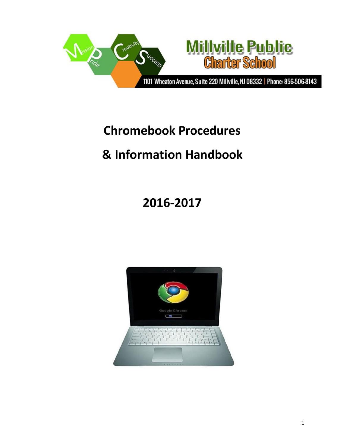

## **Chromebook Procedures**

# **& Information Handbook**

# **2016-2017**

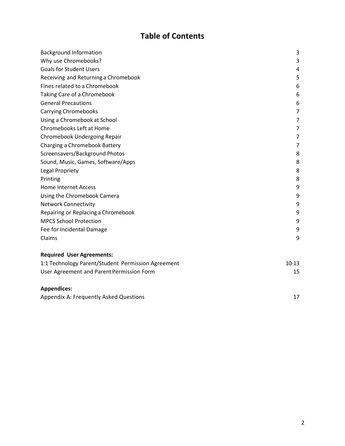## **Table of Contents**

| <b>Background Information</b>                      | 3       |
|----------------------------------------------------|---------|
| Why use Chromebooks?                               | 3       |
| <b>Goals for Student Users</b>                     | 4       |
| Receiving and Returning a Chromebook               | 5       |
| Fines related to a Chromebook                      | 6       |
| Taking Care of a Chromebook                        | 6       |
| <b>General Precautions</b>                         | 6       |
| <b>Carrying Chromebooks</b>                        | 7       |
| Using a Chromebook at School                       | 7       |
| Chromebooks Left at Home                           | 7       |
| Chromebook Undergoing Repair                       | 7       |
| Charging a Chromebook Battery                      | 7       |
| Screensavers/Background Photos                     | 8       |
| Sound, Music, Games, Software/Apps                 | 8       |
| Legal Propriety                                    | 8       |
| Printing                                           | 8       |
| <b>Home Internet Access</b>                        | 9       |
| Using the Chromebook Camera                        | 9       |
| <b>Network Connectivity</b>                        | 9       |
| Repairing or Replacing a Chromebook                | 9       |
| <b>MPCS School Protection</b>                      | 9       |
| Fee for Incidental Damage                          | 9       |
| Claims                                             | 9       |
| <b>Required User Agreements:</b>                   |         |
| 1:1 Technology Parent/Student Permission Agreement | $10-13$ |
| User Agreement and Parent Permission Form          | 15      |
| <b>Appendices:</b>                                 |         |

| Appendix A: Frequently Asked Questions |  |
|----------------------------------------|--|
|----------------------------------------|--|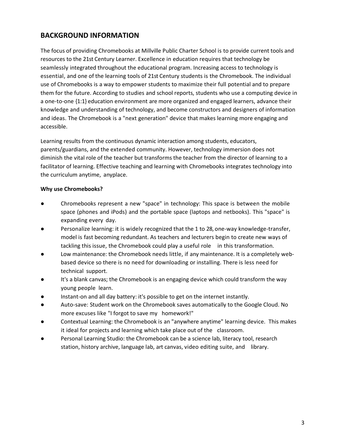## <span id="page-2-0"></span>**BACKGROUND INFORMATION**

The focus of providing Chromebooks at Millville Public Charter School is to provide current tools and resources to the 21st Century Learner. Excellence in education requires that technology be seamlessly integrated throughout the educational program. Increasing access to technology is essential, and one of the learning tools of 21st Century students is the Chromebook. The individual use of Chromebooks is a way to empower students to maximize their full potential and to prepare them for the future. According to studies and school reports, students who use a computing device in a one-to-one {1:1} education environment are more organized and engaged learners, advance their knowledge and understanding of technology, and become constructors and designers of information and ideas. The Chromebook is a "next generation" device that makes learning more engaging and accessible.

Learning results from the continuous dynamic interaction among students, educators, parents/guardians, and the extended community. However, technology immersion does not diminish the vital role of the teacher but transforms the teacher from the director of learning to a facilitator of learning. Effective teaching and learning with Chromebooks integrates technology into the curriculum anytime, anyplace.

#### <span id="page-2-1"></span>**Why use Chromebooks?**

- Chromebooks represent a new "space" in technology: This space is between the mobile space (phones and iPods) and the portable space (laptops and netbooks). This "space" is expanding every day.
- Personalize learning: it is widely recognized that the 1 to 28, one-way knowledge-transfer, model is fast becoming redundant. As teachers and lecturers begin to create new ways of tackling this issue, the Chromebook could play a useful role in this transformation.
- Low maintenance: the Chromebook needs little, if any maintenance. It is a completely webbased device so there is no need for downloading or installing. There is less need for technical support.
- It's a blank canvas; the Chromebook is an engaging device which could transform the way young people learn.
- Instant-on and all day battery: it's possible to get on the internet instantly.
- Auto-save: Student work on the Chromebook saves automatically to the Google Cloud. No more excuses like "I forgot to save my homework!"
- Contextual Learning: the Chromebook is an "anywhere anytime" learning device. This makes it ideal for projects and learning which take place out of the classroom.
- Personal Learning Studio: the Chromebook can be a science lab, literacy tool, research station, history archive, language lab, art canvas, video editing suite, and library.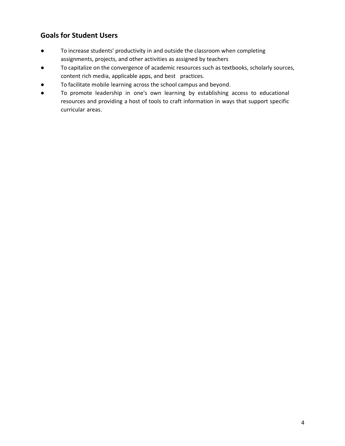## <span id="page-3-0"></span>**Goals for Student Users**

- To increase students' productivity in and outside the classroom when completing assignments, projects, and other activities as assigned by teachers
- To capitalize on the convergence of academic resources such as textbooks, scholarly sources, content rich media, applicable apps, and best practices.
- To facilitate mobile learning across the school campus and beyond.
- To promote leadership in one's own learning by establishing access to educational resources and providing a host of tools to craft information in ways that support specific curricular areas.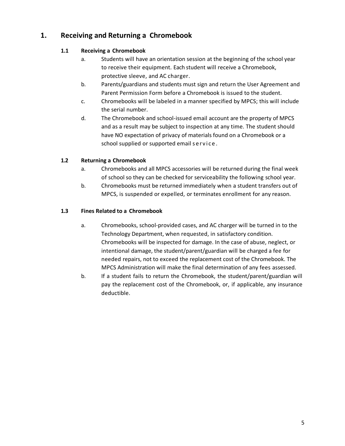## **1. Receiving and Returning a Chromebook**

### **1.1 Receiving a Chromebook**

- a. Students will have an orientation session at the beginning of the school year to receive their equipment. Each student will receive a Chromebook, protective sleeve, and AC charger.
- b. Parents/guardians and students must sign and return the User Agreement and Parent Permission Form before a Chromebook is issued to the student.
- c. Chromebooks will be labeled in a manner specified by MPCS; this will include the serial number.
- d. The Chromebook and school-issued email account are the property of MPCS and as a result may be subject to inspection at any time. The student should have NO expectation of privacy of materials found on a Chromebook or a school supplied or supported email s e r v i c e .

## **1.2 Returning a Chromebook**

- a. Chromebooks and all MPCS accessories will be returned during the final week of school so they can be checked for serviceability the following school year.
- b. Chromebooks must be returned immediately when a student transfers out of MPCS, is suspended or expelled, or terminates enrollment for any reason.

## **1.3 Fines Related to a Chromebook**

- a. Chromebooks, school-provided cases, and AC charger will be turned in to the Technology Department, when requested, in satisfactory condition. Chromebooks will be inspected for damage. In the case of abuse, neglect, or intentional damage, the student/parent/guardian will be charged a fee for needed repairs, not to exceed the replacement cost of the Chromebook. The MPCS Administration will make the final determination of any fees assessed.
- b. If a student fails to return the Chromebook, the student/parent/guardian will pay the replacement cost of the Chromebook, or, if applicable, any insurance deductible.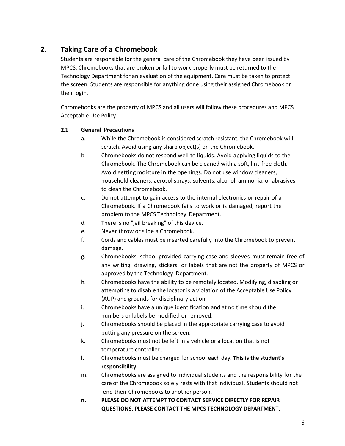## **2. Taking Care of a Chromebook**

Students are responsible for the general care of the Chromebook they have been issued by MPCS. Chromebooks that are broken or fail to work properly must be returned to the Technology Department for an evaluation of the equipment. Care must be taken to protect the screen. Students are responsible for anything done using their assigned Chromebook or their login.

Chromebooks are the property of MPCS and all users will follow these procedures and MPCS Acceptable Use Policy.

### **2.1 General Precautions**

- a. While the Chromebook is considered scratch resistant, the Chromebook will scratch. Avoid using any sharp object(s) on the Chromebook.
- b. Chromebooks do not respond well to liquids. Avoid applying liquids to the Chromebook. The Chromebook can be cleaned with a soft, lint-free cloth. Avoid getting moisture in the openings. Do not use window cleaners, household cleaners, aerosol sprays, solvents, alcohol, ammonia, or abrasives to clean the Chromebook.
- c. Do not attempt to gain access to the internal electronics or repair of a Chromebook. If a Chromebook fails to work or is damaged, report the problem to the MPCS Technology Department.
- d. There is no "jail breaking" of this device.
- e. Never throw or slide a Chromebook.
- f. Cords and cables must be inserted carefully into the Chromebook to prevent damage.
- g. Chromebooks, school-provided carrying case and sleeves must remain free of any writing, drawing, stickers, or labels that are not the property of MPCS or approved by the Technology Department.
- h. Chromebooks have the ability to be remotely located. Modifying, disabling or attempting to disable the locator is a violation of the Acceptable Use Policy (AUP) and grounds for disciplinary action.
- i. Chromebooks have a unique identification and at no time should the numbers or labels be modified or removed.
- j. Chromebooks should be placed in the appropriate carrying case to avoid putting any pressure on the screen.
- k. Chromebooks must not be left in a vehicle or a location that is not temperature controlled.
- **l.** Chromebooks must be charged for school each day. **This is the student's responsibility.**
- m. Chromebooks are assigned to individual students and the responsibility for the care of the Chromebook solely rests with that individual. Students should not lend their Chromebooks to another person.
- **n. PLEASE DO NOT ATTEMPT TO CONTACT SERVICE DIRECTLY FOR REPAIR QUESTIONS. PLEASE CONTACT THE MPCS TECHNOLOGY DEPARTMENT.**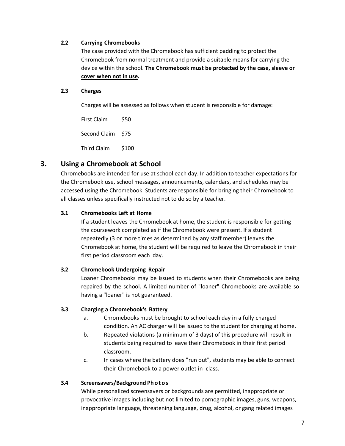#### **2.2 Carrying Chromebooks**

The case provided with the Chromebook has sufficient padding to protect the Chromebook from normal treatment and provide a suitable means for carrying the device within the school. **The Chromebook must be protected by the case, sleeve or cover when not in use.**

#### **2.3 Charges**

Charges will be assessed as follows when student is responsible for damage:

First Claim \$50 Second Claim \$75 Third Claim \$100

## **3. Using a Chromebook at School**

Chromebooks are intended for use at school each day. In addition to teacher expectations for the Chromebook use, school messages, announcements, calendars, and schedules may be accessed using the Chromebook. Students are responsible for bringing their Chromebook to all classes unless specifically instructed not to do so by a teacher.

#### **3.1 Chromebooks Left at Home**

If a student leaves the Chromebook at home, the student is responsible for getting the coursework completed as if the Chromebook were present. If a student repeatedly (3 or more times as determined by any staff member) leaves the Chromebook at home, the student will be required to leave the Chromebook in their first period classroom each day.

#### **3.2 Chromebook Undergoing Repair**

Loaner Chromebooks may be issued to students when their Chromebooks are being repaired by the school. A limited number of "loaner" Chromebooks are available so having a "loaner" is not guaranteed.

#### **3.3 Charging a Chromebook's Battery**

- a. Chromebooks must be brought to school each day in a fully charged condition. An AC charger will be issued to the student for charging at home.
- b. Repeated violations (a minimum of 3 days) of this procedure will result in students being required to leave their Chromebook in their first period classroom.
- c. In cases where the battery does "run out", students may be able to connect their Chromebook to a power outlet in class.

#### **3.4 Screensavers/Background Ph o t o s**

While personalized screensavers or backgrounds are permitted, inappropriate or provocative images including but not limited to pornographic images, guns, weapons, inappropriate language, threatening language, drug, alcohol, or gang related images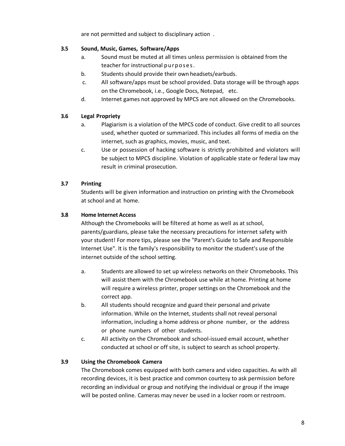are not permitted and subject to disciplinary action .

#### **3.5 Sound, Music, Games, Software/Apps**

- a. Sound must be muted at all times unless permission is obtained from the teacher for instructional purposes.
- b. Students should provide their own headsets/earbuds.
- c. All software/apps must be school provided. Data storage will be through apps on the Chromebook, i.e., Google Docs, Notepad, etc.
- d. Internet games not approved by MPCS are not allowed on the Chromebooks.

#### **3.6 Legal Propriety**

- a. Plagiarism is a violation of the MPCS code of conduct. Give credit to all sources used, whether quoted or summarized. This includes all forms of media on the internet, such as graphics, movies, music, and text.
- c. Use or possession of hacking software is strictly prohibited and violators will be subject to MPCS discipline. Violation of applicable state or federal law may result in criminal prosecution.

#### **3.7 Printing**

Students will be given information and instruction on printing with the Chromebook at school and at home.

#### **3.8 Home Internet Access**

Although the Chromebooks will be filtered at home as well as at school, parents/guardians, please take the necessary precautions for internet safety with your student! For more tips, please see the "Parent's Guide to Safe and Responsible Internet Use". It is the family's responsibility to monitor the student's use of the internet outside of the school setting.

- a. Students are allowed to set up wireless networks on their Chromebooks. This will assist them with the Chromebook use while at home. Printing at home will require a wireless printer, proper settings on the Chromebook and the correct app.
- b. All students should recognize and guard their personal and private information. While on the Internet, students shall not reveal personal information, including a home address or phone number, or the address or phone numbers of other students.
- c. All activity on the Chromebook and school-issued email account, whether conducted at school or off site, is subject to search as school property.

#### **3.9 Using the Chromebook Camera**

The Chromebook comes equipped with both camera and video capacities. As with all recording devices, it is best practice and common courtesy to ask permission before recording an individual or group and notifying the individual or group if the image will be posted online. Cameras may never be used in a locker room or restroom.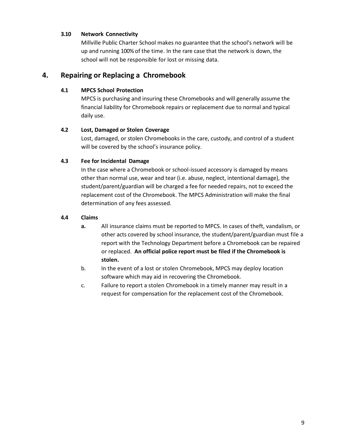#### **3.10 Network Connectivity**

Millville Public Charter School makes no guarantee that the school's network will be up and running 100% of the time. In the rare case that the network is down, the school will not be responsible for lost or missing data.

## **4. Repairing or Replacing a Chromebook**

#### **4.1 MPCS School Protection**

MPCS is purchasing and insuring these Chromebooks and will generally assume the financial liability for Chromebook repairs or replacement due to normal and typical daily use.

#### **4.2 Lost, Damaged or Stolen Coverage**

Lost, damaged, or stolen Chromebooks in the care, custody, and control of a student will be covered by the school's insurance policy.

#### **4.3 Fee for Incidental Damage**

In the case where a Chromebook or school-issued accessory is damaged by means other than normal use, wear and tear (i.e. abuse, neglect, intentional damage), the student/parent/guardian will be charged a fee for needed repairs, not to exceed the replacement cost of the Chromebook. The MPCS Administration will make the final determination of any fees assessed.

#### **4.4 Claims**

- **a.** All insurance claims must be reported to MPCS. In cases of theft, vandalism, or other acts covered by school insurance, the student/parent/guardian must file a report with the Technology Department before a Chromebook can be repaired or replaced. **An official police report must be filed if the Chromebook is stolen.**
- b. In the event of a lost or stolen Chromebook, MPCS may deploy location software which may aid in recovering the Chromebook.
- c. Failure to report a stolen Chromebook in a timely manner may result in a request for compensation for the replacement cost of the Chromebook.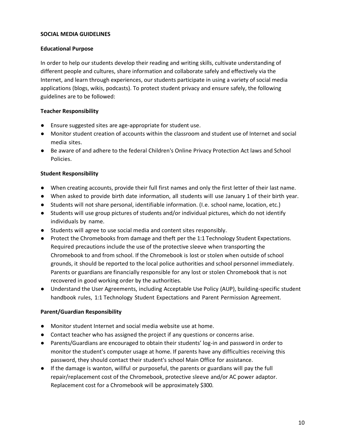#### **SOCIAL MEDIA GUIDELINES**

#### **Educational Purpose**

In order to help our students develop their reading and writing skills, cultivate understanding of different people and cultures, share information and collaborate safely and effectively via the Internet, and learn through experiences, our students participate in using a variety of social media applications (blogs, wikis, podcasts). To protect student privacy and ensure safely, the following guidelines are to be followed:

#### **Teacher Responsibility**

- Ensure suggested sites are age-appropriate for student use.
- Monitor student creation of accounts within the classroom and student use of Internet and social media sites.
- Be aware of and adhere to the federal Children's Online Privacy Protection Act laws and School Policies.

#### **Student Responsibility**

- When creating accounts, provide their full first names and only the first letter of their last name.
- When asked to provide birth date information, all students will use January 1 of their birth year.
- Students will not share personal, identifiable information. (I.e. school name, location, etc.)
- Students will use group pictures of students and/or individual pictures, which do not identify individuals by name.
- Students will agree to use social media and content sites responsibly.
- Protect the Chromebooks from damage and theft per the 1:1 Technology Student Expectations. Required precautions include the use of the protective sleeve when transporting the Chromebook to and from school. If the Chromebook is lost or stolen when outside of school grounds, it should be reported to the local police authorities and school personnel immediately. Parents or guardians are financially responsible for any lost or stolen Chromebook that is not recovered in good working order by the authorities.
- Understand the User Agreements, including Acceptable Use Policy (AUP), building-specific student handbook rules, 1:1 Technology Student Expectations and Parent Permission Agreement.

#### **Parent/Guardian Responsibility**

- Monitor student Internet and social media website use at home.
- Contact teacher who has assigned the project if any questions or concerns arise.
- Parents/Guardians are encouraged to obtain their students' log-in and password in order to monitor the student's computer usage at home. If parents have any difficulties receiving this password, they should contact their student's school Main Office for assistance.
- If the damage is wanton, willful or purposeful, the parents or guardians will pay the full repair/replacement cost of the Chromebook, protective sleeve and/or AC power adaptor. Replacement cost for a Chromebook will be approximately \$300.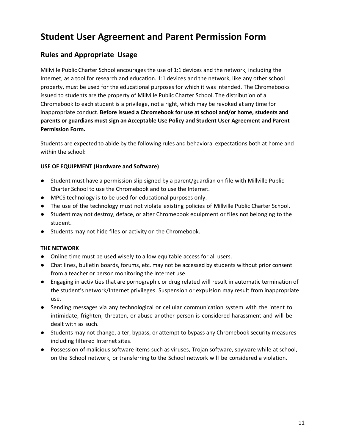## **Student User Agreement and Parent Permission Form**

## **Rules and Appropriate Usage**

Millville Public Charter School encourages the use of 1:1 devices and the network, including the Internet, as a tool for research and education. 1:1 devices and the network, like any other school property, must be used for the educational purposes for which it was intended. The Chromebooks issued to students are the property of Millville Public Charter School. The distribution of a Chromebook to each student is a privilege, not a right, which may be revoked at any time for inappropriate conduct. **Before issued a Chromebook for use at school and/or home, students and parents or guardians must sign an Acceptable Use Policy and Student User Agreement and Parent Permission Form.**

Students are expected to abide by the following rules and behavioral expectations both at home and within the school:

#### **USE OF EQUIPMENT (Hardware and Software)**

- Student must have a permission slip signed by a parent/guardian on file with Millville Public Charter School to use the Chromebook and to use the Internet.
- MPCS technology is to be used for educational purposes only.
- The use of the technology must not violate existing policies of Millville Public Charter School.
- Student may not destroy, deface, or alter Chromebook equipment or files not belonging to the student.
- Students may not hide files or activity on the Chromebook.

#### **THE NETWORK**

- Online time must be used wisely to allow equitable access for all users.
- Chat lines, bulletin boards, forums, etc. may not be accessed by students without prior consent from a teacher or person monitoring the Internet use.
- Engaging in activities that are pornographic or drug related will result in automatic termination of the student's network/Internet privileges. Suspension or expulsion may result from inappropriate use.
- Sending messages via any technological or cellular communication system with the intent to intimidate, frighten, threaten, or abuse another person is considered harassment and will be dealt with as such.
- Students may not change, alter, bypass, or attempt to bypass any Chromebook security measures including filtered Internet sites.
- Possession of malicious software items such as viruses, Trojan software, spyware while at school, on the School network, or transferring to the School network will be considered a violation.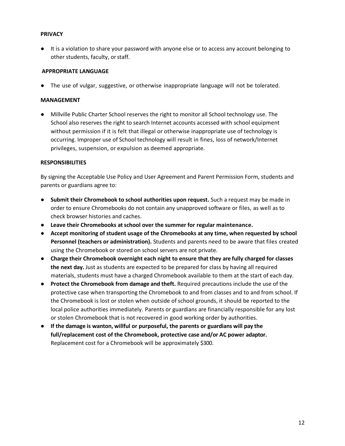#### **PRIVACY**

● It is a violation to share your password with anyone else or to access any account belonging to other students, faculty, or staff.

#### **APPROPRIATE LANGUAGE**

● The use of vulgar, suggestive, or otherwise inappropriate language will not be tolerated.

#### **MANAGEMENT**

● Millville Public Charter School reserves the right to monitor all School technology use. The School also reserves the right to search Internet accounts accessed with school equipment without permission if it is felt that illegal or otherwise inappropriate use of technology is occurring. Improper use of School technology will result in fines, loss of network/Internet privileges, suspension, or expulsion as deemed appropriate.

#### **RESPONSIBILITIES**

By signing the Acceptable Use Policy and User Agreement and Parent Permission Form, students and parents or guardians agree to:

- **Submit their Chromebook to school authorities upon request.** Such a request may be made in order to ensure Chromebooks do not contain any unapproved software or files, as well as to check browser histories and caches.
- **Leave their Chromebooks at school over the summer for regular maintenance.**
- **Accept monitoring of student usage of the Chromebooks at any time, when requested by school Personnel (teachers or administration).** Students and parents need to be aware that files created using the Chromebook or stored on school servers are not private.
- **Charge their Chromebook overnight each night to ensure that they are fully charged for classes the next day.** Just as students are expected to be prepared for class by having all required materials, students must have a charged Chromebook available to them at the start of each day.
- **Protect the Chromebook from damage and theft.** Required precautions include the use of the protective case when transporting the Chromebook to and from classes and to and from school. If the Chromebook is lost or stolen when outside of school grounds, it should be reported to the local police authorities immediately. Parents or guardians are financially responsible for any lost or stolen Chromebook that is not recovered in good working order by authorities.
- **If the damage is wanton, willful or purposeful, the parents or guardians will pay the full/replacement cost of the Chromebook, protective case and/or AC power adaptor.**  Replacement cost for a Chromebook will be approximately \$300.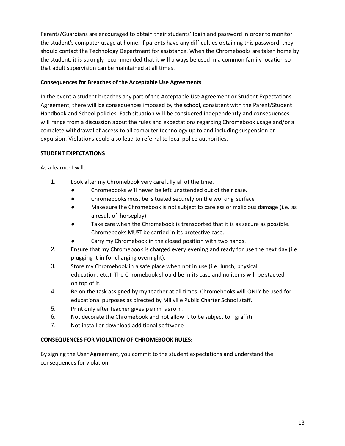Parents/Guardians are encouraged to obtain their students' login and password in order to monitor the student's computer usage at home. If parents have any difficulties obtaining this password, they should contact the Technology Department for assistance. When the Chromebooks are taken home by the student, it is strongly recommended that it will always be used in a common family location so that adult supervision can be maintained at all times.

#### **Consequences for Breaches of the Acceptable Use Agreements**

In the event a student breaches any part of the Acceptable Use Agreement or Student Expectations Agreement, there will be consequences imposed by the school, consistent with the Parent/Student Handbook and School policies. Each situation will be considered independently and consequences will range from a discussion about the rules and expectations regarding Chromebook usage and/or a complete withdrawal of access to all computer technology up to and including suspension or expulsion. Violations could also lead to referral to local police authorities.

#### **STUDENT EXPECTATIONS**

As a learner I will:

- 1. Look after my Chromebook very carefully all of the time.
	- Chromebooks will never be left unattended out of their case.
	- Chromebooks must be situated securely on the working surface
	- Make sure the Chromebook is not subject to careless or malicious damage (i.e. as a result of horseplay)
	- Take care when the Chromebook is transported that it is as secure as possible. Chromebooks MUST be carried in its protective case.
	- Carry my Chromebook in the closed position with two hands.
- 2. Ensure that my Chromebook is charged every evening and ready for use the next day (i.e. plugging it in for charging overnight).
- 3. Store my Chromebook in a safe place when not in use (i.e. lunch, physical education, etc.). The Chromebook should be in its case and no items will be stacked on top of it.
- 4. Be on the task assigned by my teacher at all times. Chromebooks will ONLY be used for educational purposes as directed by Millville Public Charter School staff.
- 5. Print only after teacher gives permission.
- 6. Not decorate the Chromebook and not allow it to be subject to graffiti.
- 7. Not install or download additional software.

#### **CONSEQUENCES FOR VIOLATION OF CHROMEBOOK RULES:**

By signing the User Agreement, you commit to the student expectations and understand the consequences for violation.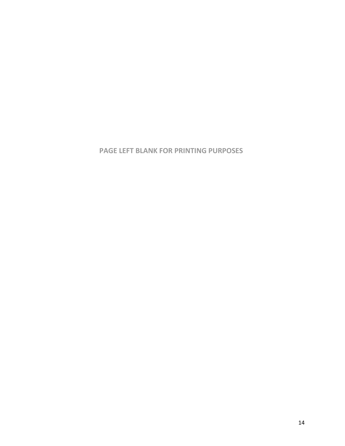**PAGE LEFT BLANK FOR PRINTING PURPOSES**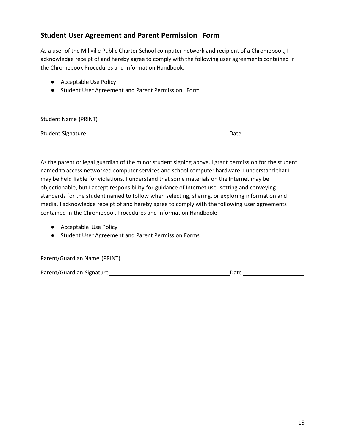## **Student User Agreement and Parent Permission Form**

As a user of the Millville Public Charter School computer network and recipient of a Chromebook, I acknowledge receipt of and hereby agree to comply with the following user agreements contained in the Chromebook Procedures and Information Handbook:

- Acceptable Use Policy
- Student User Agreement and Parent Permission Form

| Student Name (PRINT) |      |
|----------------------|------|
|                      |      |
| Student Signature    | Date |

As the parent or legal guardian of the minor student signing above, I grant permission for the student named to access networked computer services and school computer hardware. I understand that I may be held liable for violations. I understand that some materials on the Internet may be objectionable, but I accept responsibility for guidance of Internet use -setting and conveying standards for the student named to follow when selecting, sharing, or exploring information and media. I acknowledge receipt of and hereby agree to comply with the following user agreements contained in the Chromebook Procedures and Information Handbook:

- Acceptable Use Policy
- Student User Agreement and Parent Permission Forms

| Parent/Guardian Name (PRINT) |      |
|------------------------------|------|
|                              |      |
| Parent/Guardian Signature    | Date |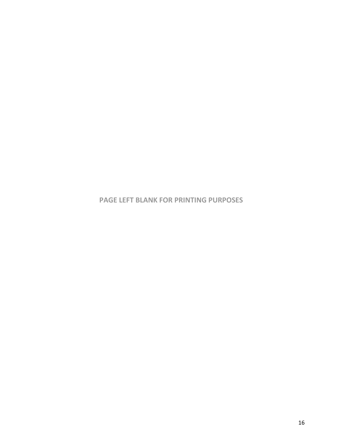**PAGE LEFT BLANK FOR PRINTING PURPOSES**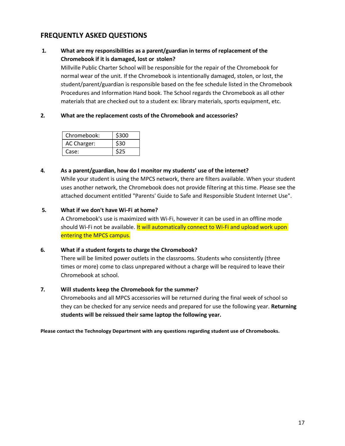## **FREQUENTLY ASKED QUESTIONS**

## **1. What are my responsibilities as a parent/guardian in terms of replacement of the Chromebook if it is damaged, lost or stolen?**

Millville Public Charter School will be responsible for the repair of the Chromebook for normal wear of the unit. If the Chromebook is intentionally damaged, stolen, or lost, the student/parent/guardian is responsible based on the fee schedule listed in the Chromebook Procedures and Information Hand book. The School regards the Chromebook as all other materials that are checked out to a student ex: library materials, sports equipment, etc.

#### **2. What are the replacement costs of the Chromebook and accessories?**

| Chromebook: | \$300 |
|-------------|-------|
| AC Charger: | \$30  |
| Case:       |       |

#### **4. As a parent/guardian, how do I monitor my students' use of the internet?**

While your student is using the MPCS network, there are filters available. When your student uses another network, the Chromebook does not provide filtering at this time. Please see the attached document entitled "Parents' Guide to Safe and Responsible Student Internet Use".

#### **5. What if we don't have Wi-Fi at home?**

A Chromebook's use is maximized with Wi-Fi, however it can be used in an offline mode should Wi-Fi not be available. It will automatically connect to Wi-Fi and upload work upon entering the MPCS campus.

#### **6. What if a student forgets to charge the Chromebook?**

There will be limited power outlets in the classrooms. Students who consistently (three times or more) come to class unprepared without a charge will be required to leave their Chromebook at school.

#### **7. Will students keep the Chromebook for the summer?**

Chromebooks and all MPCS accessories will be returned during the final week of school so they can be checked for any service needs and prepared for use the following year. **Returning students will be reissued their same laptop the following year.**

**Please contact the Technology Department with any questions regarding student use of Chromebooks.**